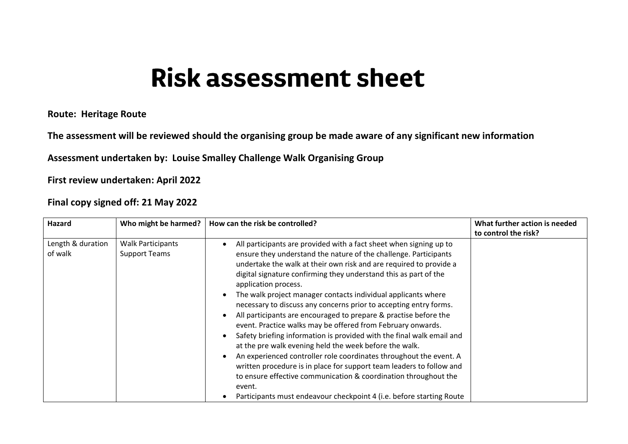## **Risk assessment sheet**

**Route: Heritage Route**

**The assessment will be reviewed should the organising group be made aware of any significant new information**

**Assessment undertaken by: Louise Smalley Challenge Walk Organising Group**

**First review undertaken: April 2022**

**Final copy signed off: 21 May 2022**

| Hazard                       | Who might be harmed?                             | How can the risk be controlled?                                                                                                                                                                                                                                                                                                                                                                                                                                                                                                                                                                                                                                                                                                                                                                                                                                                                                                                                                                                         | What further action is needed |
|------------------------------|--------------------------------------------------|-------------------------------------------------------------------------------------------------------------------------------------------------------------------------------------------------------------------------------------------------------------------------------------------------------------------------------------------------------------------------------------------------------------------------------------------------------------------------------------------------------------------------------------------------------------------------------------------------------------------------------------------------------------------------------------------------------------------------------------------------------------------------------------------------------------------------------------------------------------------------------------------------------------------------------------------------------------------------------------------------------------------------|-------------------------------|
|                              |                                                  |                                                                                                                                                                                                                                                                                                                                                                                                                                                                                                                                                                                                                                                                                                                                                                                                                                                                                                                                                                                                                         | to control the risk?          |
| Length & duration<br>of walk | <b>Walk Participants</b><br><b>Support Teams</b> | All participants are provided with a fact sheet when signing up to<br>ensure they understand the nature of the challenge. Participants<br>undertake the walk at their own risk and are required to provide a<br>digital signature confirming they understand this as part of the<br>application process.<br>The walk project manager contacts individual applicants where<br>necessary to discuss any concerns prior to accepting entry forms.<br>All participants are encouraged to prepare & practise before the<br>event. Practice walks may be offered from February onwards.<br>Safety briefing information is provided with the final walk email and<br>at the pre walk evening held the week before the walk.<br>An experienced controller role coordinates throughout the event. A<br>written procedure is in place for support team leaders to follow and<br>to ensure effective communication & coordination throughout the<br>event.<br>Participants must endeavour checkpoint 4 (i.e. before starting Route |                               |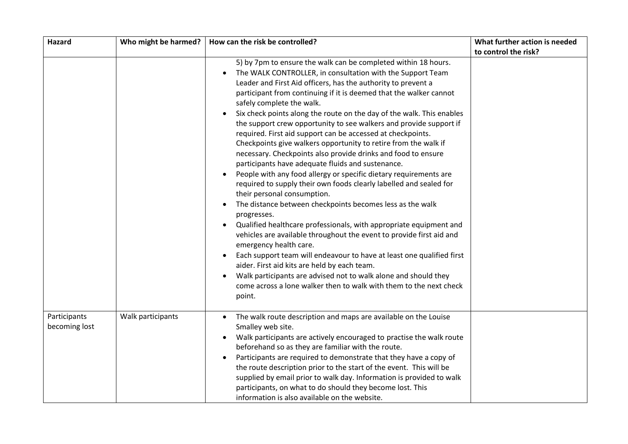| Hazard                        | Who might be harmed? | How can the risk be controlled?                                                                                                                                                                                                                                                                                                                                                                                                                                                                                                                                                                                                                                                                                                                                                                                                                                                                                                                                                                                                                                                                                                                                                                                                                                                                                                                                                                                                | What further action is needed |
|-------------------------------|----------------------|--------------------------------------------------------------------------------------------------------------------------------------------------------------------------------------------------------------------------------------------------------------------------------------------------------------------------------------------------------------------------------------------------------------------------------------------------------------------------------------------------------------------------------------------------------------------------------------------------------------------------------------------------------------------------------------------------------------------------------------------------------------------------------------------------------------------------------------------------------------------------------------------------------------------------------------------------------------------------------------------------------------------------------------------------------------------------------------------------------------------------------------------------------------------------------------------------------------------------------------------------------------------------------------------------------------------------------------------------------------------------------------------------------------------------------|-------------------------------|
|                               |                      |                                                                                                                                                                                                                                                                                                                                                                                                                                                                                                                                                                                                                                                                                                                                                                                                                                                                                                                                                                                                                                                                                                                                                                                                                                                                                                                                                                                                                                | to control the risk?          |
|                               |                      | 5) by 7pm to ensure the walk can be completed within 18 hours.<br>The WALK CONTROLLER, in consultation with the Support Team<br>$\bullet$<br>Leader and First Aid officers, has the authority to prevent a<br>participant from continuing if it is deemed that the walker cannot<br>safely complete the walk.<br>Six check points along the route on the day of the walk. This enables<br>the support crew opportunity to see walkers and provide support if<br>required. First aid support can be accessed at checkpoints.<br>Checkpoints give walkers opportunity to retire from the walk if<br>necessary. Checkpoints also provide drinks and food to ensure<br>participants have adequate fluids and sustenance.<br>People with any food allergy or specific dietary requirements are<br>required to supply their own foods clearly labelled and sealed for<br>their personal consumption.<br>The distance between checkpoints becomes less as the walk<br>progresses.<br>Qualified healthcare professionals, with appropriate equipment and<br>vehicles are available throughout the event to provide first aid and<br>emergency health care.<br>Each support team will endeavour to have at least one qualified first<br>aider. First aid kits are held by each team.<br>Walk participants are advised not to walk alone and should they<br>come across a lone walker then to walk with them to the next check<br>point. |                               |
| Participants<br>becoming lost | Walk participants    | The walk route description and maps are available on the Louise<br>$\bullet$<br>Smalley web site.<br>Walk participants are actively encouraged to practise the walk route<br>beforehand so as they are familiar with the route.<br>Participants are required to demonstrate that they have a copy of<br>the route description prior to the start of the event. This will be<br>supplied by email prior to walk day. Information is provided to walk<br>participants, on what to do should they become lost. This<br>information is also available on the website.                                                                                                                                                                                                                                                                                                                                                                                                                                                                                                                                                                                                                                                                                                                                                                                                                                                              |                               |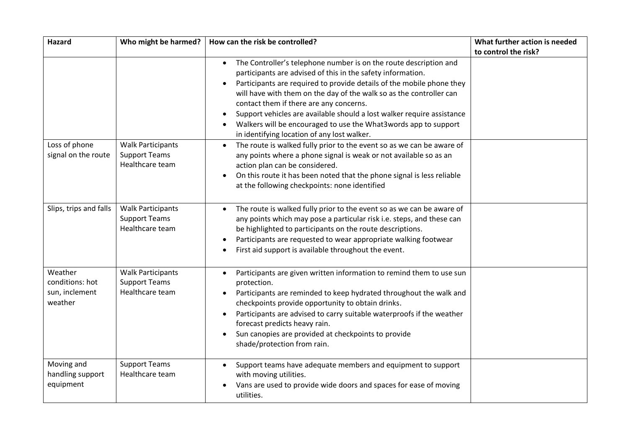| Hazard                                                  | Who might be harmed?                                                | How can the risk be controlled?                                                                                                                                                                                                                                                                                                                                                                                                          | What further action is needed |
|---------------------------------------------------------|---------------------------------------------------------------------|------------------------------------------------------------------------------------------------------------------------------------------------------------------------------------------------------------------------------------------------------------------------------------------------------------------------------------------------------------------------------------------------------------------------------------------|-------------------------------|
|                                                         |                                                                     |                                                                                                                                                                                                                                                                                                                                                                                                                                          | to control the risk?          |
|                                                         |                                                                     | The Controller's telephone number is on the route description and<br>$\bullet$<br>participants are advised of this in the safety information.                                                                                                                                                                                                                                                                                            |                               |
|                                                         |                                                                     | Participants are required to provide details of the mobile phone they<br>will have with them on the day of the walk so as the controller can                                                                                                                                                                                                                                                                                             |                               |
|                                                         |                                                                     | contact them if there are any concerns.<br>Support vehicles are available should a lost walker require assistance<br>Walkers will be encouraged to use the What3words app to support<br>in identifying location of any lost walker.                                                                                                                                                                                                      |                               |
| Loss of phone<br>signal on the route                    | <b>Walk Participants</b><br><b>Support Teams</b><br>Healthcare team | The route is walked fully prior to the event so as we can be aware of<br>$\bullet$<br>any points where a phone signal is weak or not available so as an<br>action plan can be considered.<br>On this route it has been noted that the phone signal is less reliable<br>at the following checkpoints: none identified                                                                                                                     |                               |
| Slips, trips and falls                                  | <b>Walk Participants</b><br><b>Support Teams</b><br>Healthcare team | The route is walked fully prior to the event so as we can be aware of<br>$\bullet$<br>any points which may pose a particular risk i.e. steps, and these can<br>be highlighted to participants on the route descriptions.<br>Participants are requested to wear appropriate walking footwear<br>First aid support is available throughout the event.                                                                                      |                               |
| Weather<br>conditions: hot<br>sun, inclement<br>weather | <b>Walk Participants</b><br><b>Support Teams</b><br>Healthcare team | Participants are given written information to remind them to use sun<br>$\bullet$<br>protection.<br>Participants are reminded to keep hydrated throughout the walk and<br>checkpoints provide opportunity to obtain drinks.<br>Participants are advised to carry suitable waterproofs if the weather<br>$\bullet$<br>forecast predicts heavy rain.<br>Sun canopies are provided at checkpoints to provide<br>shade/protection from rain. |                               |
| Moving and<br>handling support<br>equipment             | <b>Support Teams</b><br>Healthcare team                             | Support teams have adequate members and equipment to support<br>with moving utilities.<br>Vans are used to provide wide doors and spaces for ease of moving<br>utilities.                                                                                                                                                                                                                                                                |                               |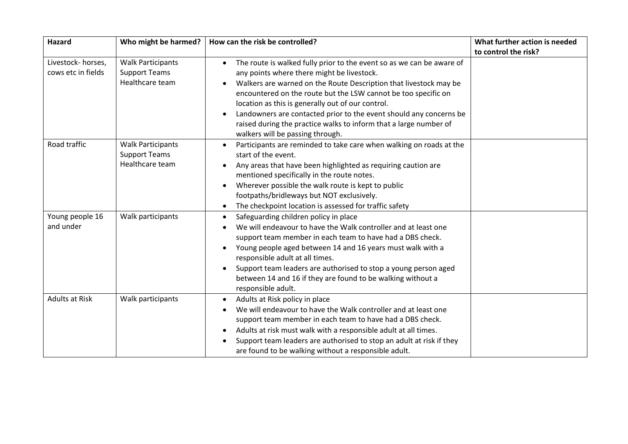| Hazard                                  | Who might be harmed?                                                | How can the risk be controlled?                                                                                                                                                                                                                                                                                                                                                                                                                                                                             | What further action is needed |
|-----------------------------------------|---------------------------------------------------------------------|-------------------------------------------------------------------------------------------------------------------------------------------------------------------------------------------------------------------------------------------------------------------------------------------------------------------------------------------------------------------------------------------------------------------------------------------------------------------------------------------------------------|-------------------------------|
|                                         |                                                                     |                                                                                                                                                                                                                                                                                                                                                                                                                                                                                                             | to control the risk?          |
| Livestock-horses,<br>cows etc in fields | <b>Walk Participants</b><br><b>Support Teams</b><br>Healthcare team | The route is walked fully prior to the event so as we can be aware of<br>$\bullet$<br>any points where there might be livestock.<br>Walkers are warned on the Route Description that livestock may be<br>encountered on the route but the LSW cannot be too specific on<br>location as this is generally out of our control.<br>Landowners are contacted prior to the event should any concerns be<br>raised during the practice walks to inform that a large number of<br>walkers will be passing through. |                               |
| Road traffic                            | <b>Walk Participants</b><br><b>Support Teams</b><br>Healthcare team | Participants are reminded to take care when walking on roads at the<br>$\bullet$<br>start of the event.<br>Any areas that have been highlighted as requiring caution are<br>mentioned specifically in the route notes.<br>Wherever possible the walk route is kept to public<br>footpaths/bridleways but NOT exclusively.<br>The checkpoint location is assessed for traffic safety                                                                                                                         |                               |
| Young people 16<br>and under            | Walk participants                                                   | Safeguarding children policy in place<br>$\bullet$<br>We will endeavour to have the Walk controller and at least one<br>support team member in each team to have had a DBS check.<br>Young people aged between 14 and 16 years must walk with a<br>$\bullet$<br>responsible adult at all times.<br>Support team leaders are authorised to stop a young person aged<br>between 14 and 16 if they are found to be walking without a<br>responsible adult.                                                     |                               |
| <b>Adults at Risk</b>                   | Walk participants                                                   | Adults at Risk policy in place<br>$\bullet$<br>We will endeavour to have the Walk controller and at least one<br>support team member in each team to have had a DBS check.<br>Adults at risk must walk with a responsible adult at all times.<br>Support team leaders are authorised to stop an adult at risk if they<br>are found to be walking without a responsible adult.                                                                                                                               |                               |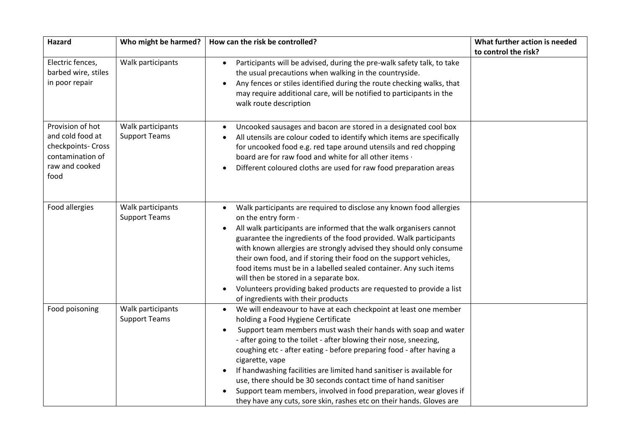| <b>Hazard</b>                          | Who might be harmed? | How can the risk be controlled?                                                                       | What further action is needed |
|----------------------------------------|----------------------|-------------------------------------------------------------------------------------------------------|-------------------------------|
|                                        |                      |                                                                                                       | to control the risk?          |
| Electric fences,                       | Walk participants    | Participants will be advised, during the pre-walk safety talk, to take<br>$\bullet$                   |                               |
| barbed wire, stiles                    |                      | the usual precautions when walking in the countryside.                                                |                               |
| in poor repair                         |                      | Any fences or stiles identified during the route checking walks, that<br>$\bullet$                    |                               |
|                                        |                      | may require additional care, will be notified to participants in the                                  |                               |
|                                        |                      | walk route description                                                                                |                               |
|                                        |                      |                                                                                                       |                               |
| Provision of hot                       | Walk participants    | Uncooked sausages and bacon are stored in a designated cool box                                       |                               |
| and cold food at                       | <b>Support Teams</b> | All utensils are colour coded to identify which items are specifically                                |                               |
| checkpoints- Cross<br>contamination of |                      | for uncooked food e.g. red tape around utensils and red chopping                                      |                               |
| raw and cooked                         |                      | board are for raw food and white for all other items .                                                |                               |
| food                                   |                      | Different coloured cloths are used for raw food preparation areas                                     |                               |
|                                        |                      |                                                                                                       |                               |
|                                        |                      |                                                                                                       |                               |
| Food allergies                         | Walk participants    | Walk participants are required to disclose any known food allergies                                   |                               |
|                                        | <b>Support Teams</b> | on the entry form .                                                                                   |                               |
|                                        |                      | All walk participants are informed that the walk organisers cannot                                    |                               |
|                                        |                      | guarantee the ingredients of the food provided. Walk participants                                     |                               |
|                                        |                      | with known allergies are strongly advised they should only consume                                    |                               |
|                                        |                      | their own food, and if storing their food on the support vehicles,                                    |                               |
|                                        |                      | food items must be in a labelled sealed container. Any such items                                     |                               |
|                                        |                      | will then be stored in a separate box.                                                                |                               |
|                                        |                      | Volunteers providing baked products are requested to provide a list<br>$\bullet$                      |                               |
|                                        |                      | of ingredients with their products                                                                    |                               |
| Food poisoning                         | Walk participants    | We will endeavour to have at each checkpoint at least one member<br>$\bullet$                         |                               |
|                                        | <b>Support Teams</b> | holding a Food Hygiene Certificate                                                                    |                               |
|                                        |                      | Support team members must wash their hands with soap and water                                        |                               |
|                                        |                      | - after going to the toilet - after blowing their nose, sneezing,                                     |                               |
|                                        |                      | coughing etc - after eating - before preparing food - after having a                                  |                               |
|                                        |                      | cigarette, vape<br>If handwashing facilities are limited hand sanitiser is available for<br>$\bullet$ |                               |
|                                        |                      | use, there should be 30 seconds contact time of hand sanitiser                                        |                               |
|                                        |                      | Support team members, involved in food preparation, wear gloves if                                    |                               |
|                                        |                      | they have any cuts, sore skin, rashes etc on their hands. Gloves are                                  |                               |